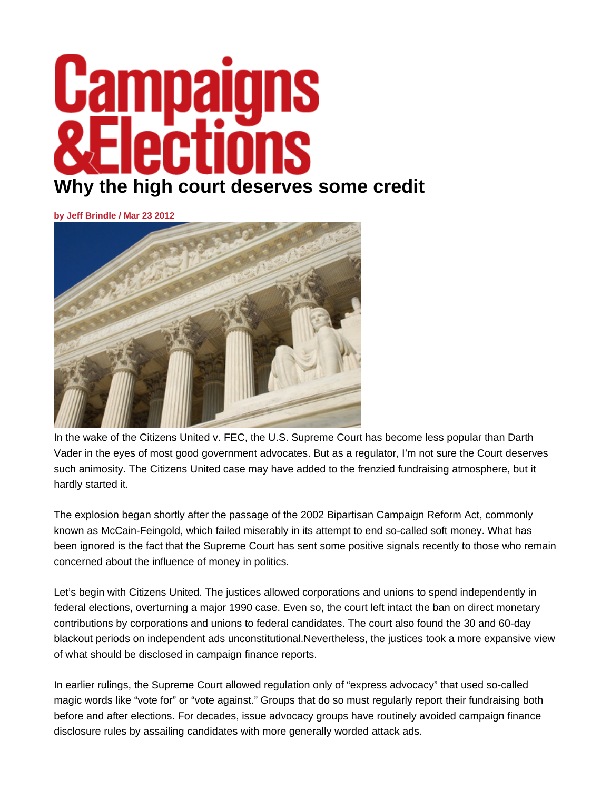## <u> Campaigns</u> **ATI** Ľ **Why the high court deserves some credit**

**by Jeff Brindle / Mar 23 2012**



In the wake of the Citizens United v. FEC, the U.S. Supreme Court has become less popular than Darth Vader in the eyes of most good government advocates. But as a regulator, I'm not sure the Court deserves such animosity. The Citizens United case may have added to the frenzied fundraising atmosphere, but it hardly started it.

The explosion began shortly after the passage of the 2002 Bipartisan Campaign Reform Act, commonly known as McCain-Feingold, which failed miserably in its attempt to end so-called soft money. What has been ignored is the fact that the Supreme Court has sent some positive signals recently to those who remain concerned about the influence of money in politics.

Let's begin with Citizens United. The justices allowed corporations and unions to spend independently in federal elections, overturning a major 1990 case. Even so, the court left intact the ban on direct monetary contributions by corporations and unions to federal candidates. The court also found the 30 and 60-day blackout periods on independent ads unconstitutional.Nevertheless, the justices took a more expansive view of what should be disclosed in campaign finance reports.

In earlier rulings, the Supreme Court allowed regulation only of "express advocacy" that used so-called magic words like "vote for" or "vote against." Groups that do so must regularly report their fundraising both before and after elections. For decades, issue advocacy groups have routinely avoided campaign finance disclosure rules by assailing candidates with more generally worded attack ads.